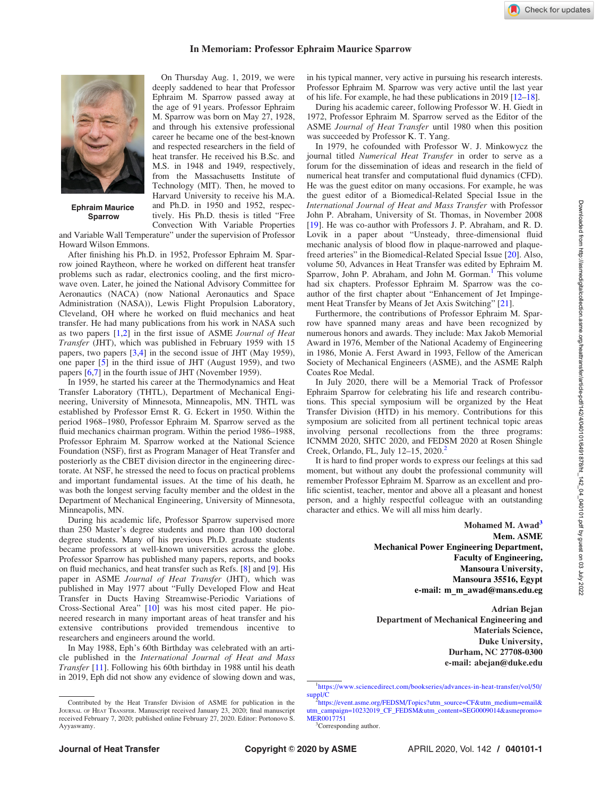## In Memoriam: Professor Ephraim Maurice Sparrow



Ephraim Maurice Sparrow

On Thursday Aug. 1, 2019, we were deeply saddened to hear that Professor Ephraim M. Sparrow passed away at the age of 91 years. Professor Ephraim M. Sparrow was born on May 27, 1928, and through his extensive professional career he became one of the best-known and respected researchers in the field of heat transfer. He received his B.Sc. and M.S. in 1948 and 1949, respectively, from the Massachusetts Institute of Technology (MIT). Then, he moved to Harvard University to receive his M.A. and Ph.D. in 1950 and 1952, respectively. His Ph.D. thesis is titled "Free Convection With Variable Properties

and Variable Wall Temperature" under the supervision of Professor Howard Wilson Emmons.

After finishing his Ph.D. in 1952, Professor Ephraim M. Sparrow joined Raytheon, where he worked on different heat transfer problems such as radar, electronics cooling, and the first microwave oven. Later, he joined the National Advisory Committee for Aeronautics (NACA) (now National Aeronautics and Space Administration (NASA)), Lewis Flight Propulsion Laboratory, Cleveland, OH where he worked on fluid mechanics and heat transfer. He had many publications from his work in NASA such as two papers  $[1,2]$  in the first issue of ASME Journal of Heat Transfer (JHT), which was published in February 1959 with 15 papers, two papers [[3](#page-1-0),[4](#page-1-0)] in the second issue of JHT (May 1959), one paper [\[5](#page-1-0)] in the third issue of JHT (August 1959), and two papers [[6](#page-1-0),[7](#page-1-0)] in the fourth issue of JHT (November 1959).

In 1959, he started his career at the Thermodynamics and Heat Transfer Laboratory (THTL), Department of Mechanical Engineering, University of Minnesota, Minneapolis, MN. THTL was established by Professor Ernst R. G. Eckert in 1950. Within the period 1968–1980, Professor Ephraim M. Sparrow served as the fluid mechanics chairman program. Within the period 1986–1988, Professor Ephraim M. Sparrow worked at the National Science Foundation (NSF), first as Program Manager of Heat Transfer and posteriorly as the CBET division director in the engineering directorate. At NSF, he stressed the need to focus on practical problems and important fundamental issues. At the time of his death, he was both the longest serving faculty member and the oldest in the Department of Mechanical Engineering, University of Minnesota, Minneapolis, MN.

During his academic life, Professor Sparrow supervised more than 250 Master's degree students and more than 100 doctoral degree students. Many of his previous Ph.D. graduate students became professors at well-known universities across the globe. Professor Sparrow has published many papers, reports, and books on fluid mechanics, and heat transfer such as Refs. [[8\]](#page-1-0) and [[9](#page-1-0)]. His paper in ASME Journal of Heat Transfer (JHT), which was published in May 1977 about "Fully Developed Flow and Heat Transfer in Ducts Having Streamwise-Periodic Variations of Cross-Sectional Area" [\[10](#page-1-0)] was his most cited paper. He pioneered research in many important areas of heat transfer and his extensive contributions provided tremendous incentive to researchers and engineers around the world.

In May 1988, Eph's 60th Birthday was celebrated with an article published in the International Journal of Heat and Mass Transfer [[11\]](#page-1-0). Following his 60th birthday in 1988 until his death in 2019, Eph did not show any evidence of slowing down and was, in his typical manner, very active in pursuing his research interests. Professor Ephraim M. Sparrow was very active until the last year of his life. For example, he had these publications in 2019 [\[12–18](#page-1-0)].

During his academic career, following Professor W. H. Giedt in 1972, Professor Ephraim M. Sparrow served as the Editor of the ASME Journal of Heat Transfer until 1980 when this position was succeeded by Professor K. T. Yang.

In 1979, he cofounded with Professor W. J. Minkowycz the journal titled Numerical Heat Transfer in order to serve as a forum for the dissemination of ideas and research in the field of numerical heat transfer and computational fluid dynamics (CFD). He was the guest editor on many occasions. For example, he was the guest editor of a Biomedical-Related Special Issue in the International Journal of Heat and Mass Transfer with Professor John P. Abraham, University of St. Thomas, in November 2008 [[19](#page-1-0)]. He was co-author with Professors J. P. Abraham, and R. D. Lovik in a paper about "Unsteady, three-dimensional fluid mechanic analysis of blood flow in plaque-narrowed and plaquefreed arteries" in the Biomedical-Related Special Issue [\[20](#page-1-0)]. Also, volume 50, Advances in Heat Transfer was edited by Ephraim M. Sparrow, John P. Abraham, and John M. Gorman.<sup>1</sup> This volume had six chapters. Professor Ephraim M. Sparrow was the coauthor of the first chapter about "Enhancement of Jet Impingement Heat Transfer by Means of Jet Axis Switching" [[21\]](#page-1-0).

Furthermore, the contributions of Professor Ephraim M. Sparrow have spanned many areas and have been recognized by numerous honors and awards. They include: Max Jakob Memorial Award in 1976, Member of the National Academy of Engineering in 1986, Monie A. Ferst Award in 1993, Fellow of the American Society of Mechanical Engineers (ASME), and the ASME Ralph Coates Roe Medal.

In July 2020, there will be a Memorial Track of Professor Ephraim Sparrow for celebrating his life and research contributions. This special symposium will be organized by the Heat Transfer Division (HTD) in his memory. Contributions for this symposium are solicited from all pertinent technical topic areas involving personal recollections from the three programs: ICNMM 2020, SHTC 2020, and FEDSM 2020 at Rosen Shingle Creek, Orlando, FL, July 12–15, 2020.<sup>2</sup>

It is hard to find proper words to express our feelings at this sad moment, but without any doubt the professional community will remember Professor Ephraim M. Sparrow as an excellent and prolific scientist, teacher, mentor and above all a pleasant and honest person, and a highly respectful colleague with an outstanding character and ethics. We will all miss him dearly.

> Mohamed M. Awad<sup>3</sup> Mem. ASME Mechanical Power Engineering Department, Faculty of Engineering, Mansoura University, Mansoura 35516, Egypt e-mail: m\_m\_awad@mans.edu.eg

> Adrian Bejan Department of Mechanical Engineering and Materials Science, Duke University, Durham, NC 27708-0300 e-mail: abejan@duke.edu

Check for updates

Contributed by the Heat Transfer Division of ASME for publication in the JOURNAL OF HEAT TRANSFER. Manuscript received January 23, 2020; final manuscript received February 7, 2020; published online February 27, 2020. Editor: Portonovo S. Ayyaswamy.

<sup>1</sup> [https://www.sciencedirect.com/bookseries/advances-in-heat-transfer/vol/50/](https://www.sciencedirect.com/bookseries/advances-in-heat-transfer/vol/50/suppl/C)  $supp1/C$ 

[https://event.asme.org/FEDSM/Topics?utm\\_source=CF&utm\\_medium=email](https://event.asme.org/FEDSM/Topics?utm_source=CF&utm_medium=email&utm_campaign=10232019_CF_FEDSM&utm_content=SEG0009014&asmepromo=MER0017751)& [utm\\_campaign=10232019\\_CF\\_FEDSM&utm\\_content=SEG0009014&asmepromo=](https://event.asme.org/FEDSM/Topics?utm_source=CF&utm_medium=email&utm_campaign=10232019_CF_FEDSM&utm_content=SEG0009014&asmepromo=MER0017751) [MER0017751](https://event.asme.org/FEDSM/Topics?utm_source=CF&utm_medium=email&utm_campaign=10232019_CF_FEDSM&utm_content=SEG0009014&asmepromo=MER0017751)

<sup>&</sup>lt;sup>3</sup>Corresponding author.